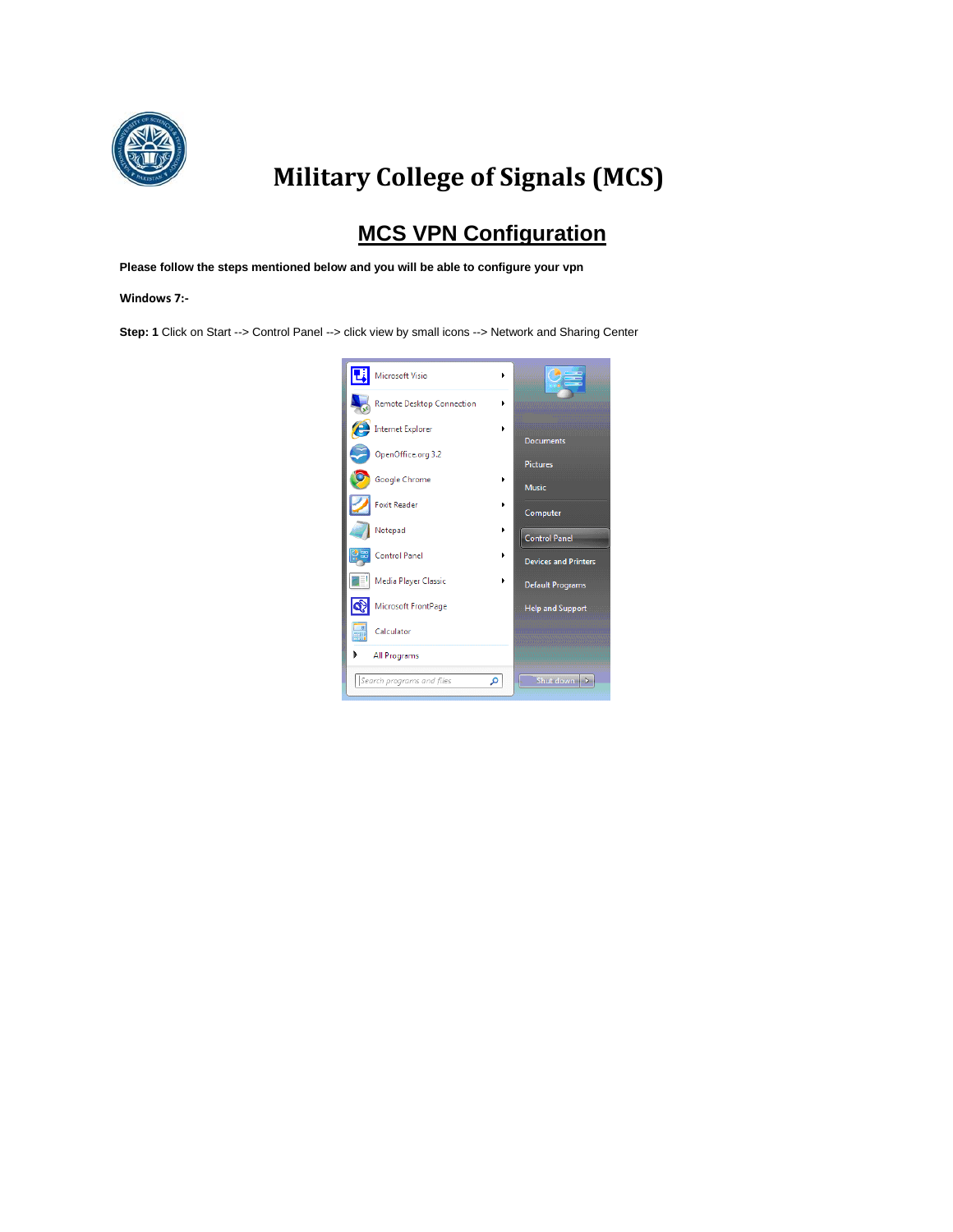

## **Military College of Signals (MCS)**

## **MCS VPN Configuration**

**Please follow the steps mentioned below and you will be able to configure your vpn** 

**Windows 7:-**

**Step: 1** Click on Start --> Control Panel --> click view by small icons --> Network and Sharing Center

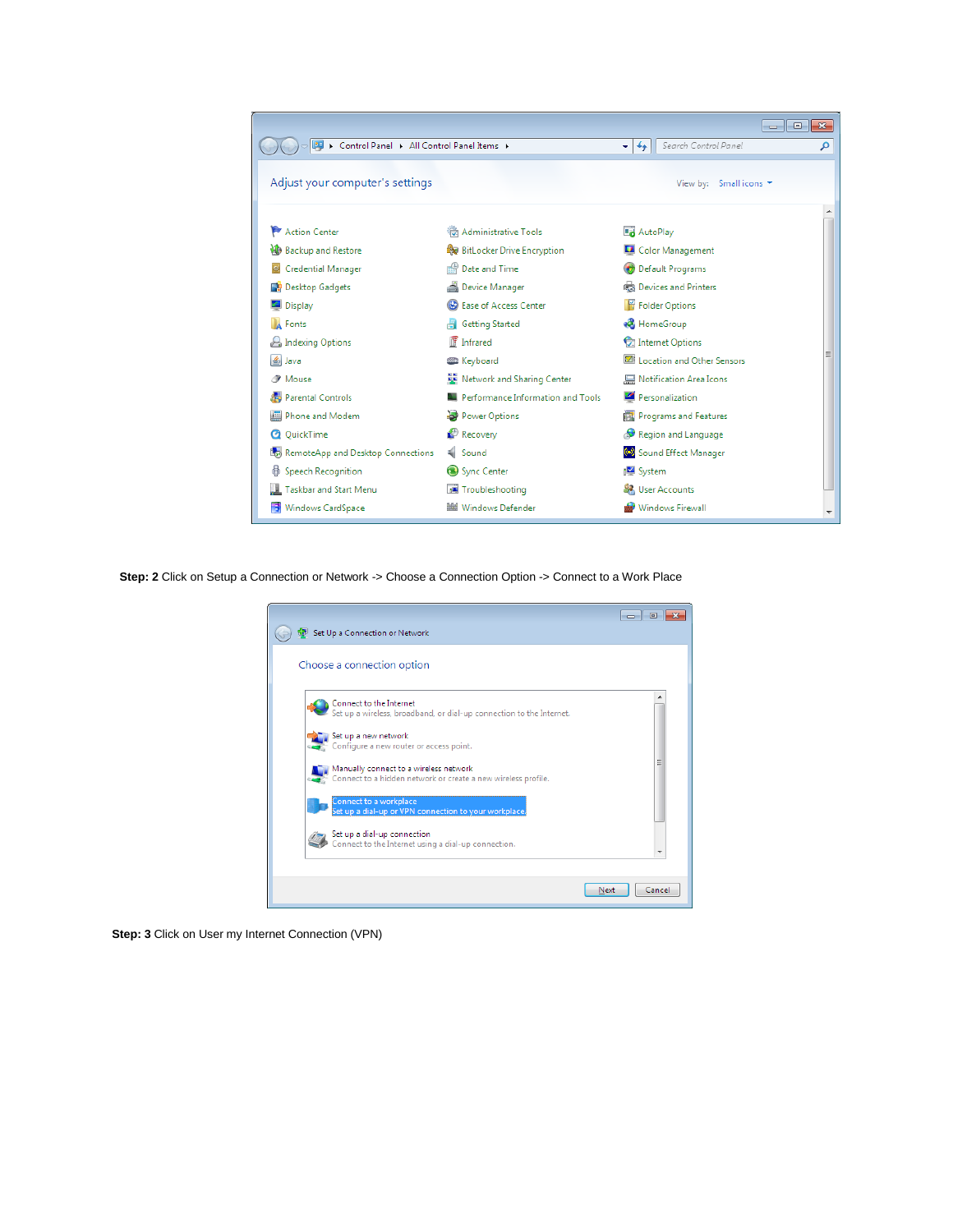

**Step: 2** Click on Setup a Connection or Network -> Choose a Connection Option -> Connect to a Work Place

| Set Up a Connection or Network                                                                                                                                                                                                                                                                                                                                                                                                                         |                |
|--------------------------------------------------------------------------------------------------------------------------------------------------------------------------------------------------------------------------------------------------------------------------------------------------------------------------------------------------------------------------------------------------------------------------------------------------------|----------------|
| Choose a connection option                                                                                                                                                                                                                                                                                                                                                                                                                             |                |
| Connect to the Internet<br>Set up a wireless, broadband, or dial-up connection to the Internet.<br>Set up a new network<br>Configure a new router or access point.<br>Manually connect to a wireless network<br>Connect to a hidden network or create a new wireless profile.<br>Connect to a workplace<br>Set up a dial-up or VPN connection to your workplace.<br>Set up a dial-up connection<br>Connect to the Internet using a dial-up connection. | Ξ              |
|                                                                                                                                                                                                                                                                                                                                                                                                                                                        | Cancel<br>Next |

**Step: 3** Click on User my Internet Connection (VPN)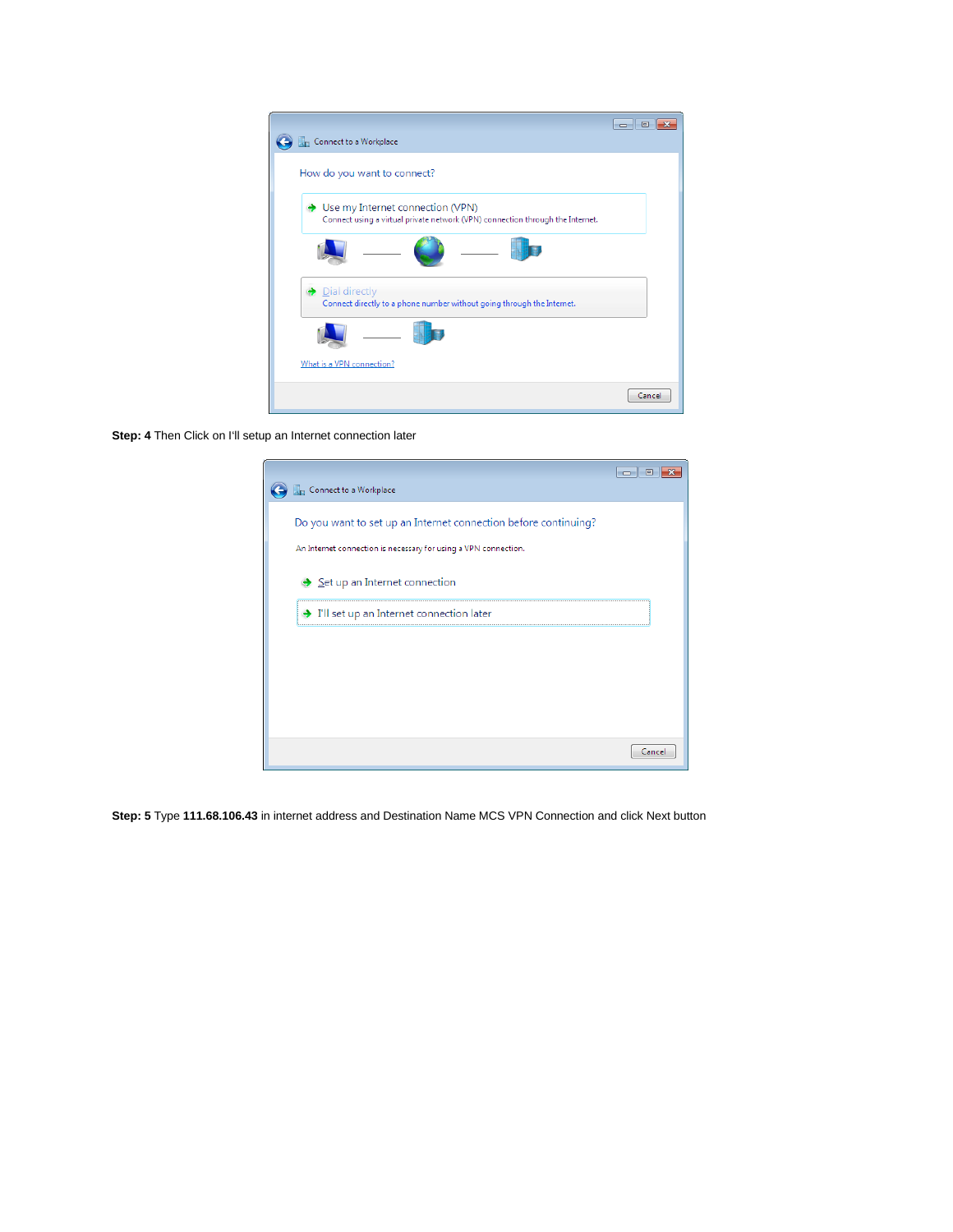

**Step: 4** Then Click on I'll setup an Internet connection later

| Connect to a Workplace                                          |       |
|-----------------------------------------------------------------|-------|
|                                                                 |       |
| Do you want to set up an Internet connection before continuing? |       |
| An Internet connection is necessary for using a VPN connection. |       |
| Set up an Internet connection                                   |       |
| T'll set up an Internet connection later                        |       |
|                                                                 |       |
|                                                                 |       |
|                                                                 |       |
|                                                                 |       |
|                                                                 |       |
|                                                                 |       |
|                                                                 | Cance |

**Step: 5** Type **111.68.106.43** in internet address and Destination Name MCS VPN Connection and click Next button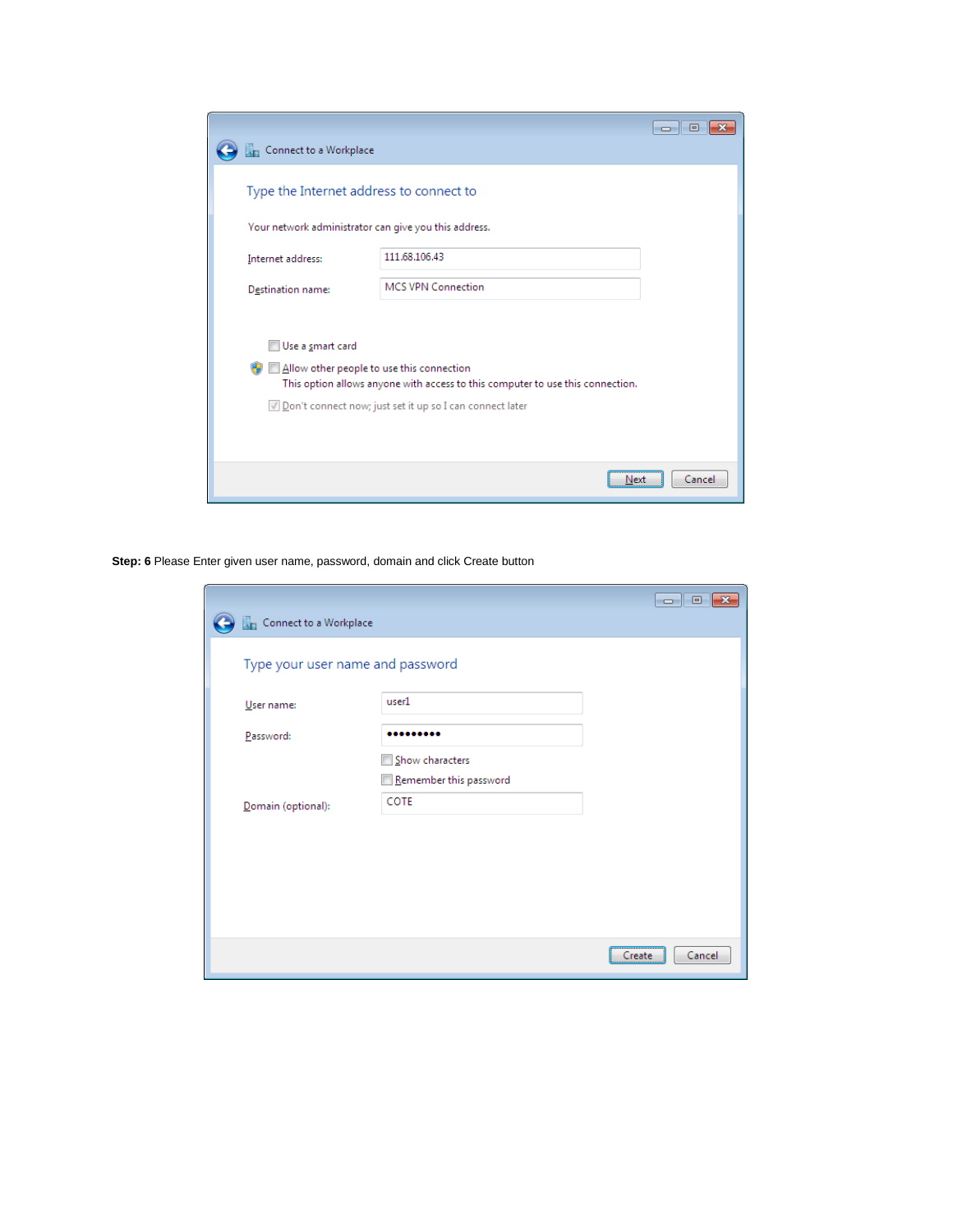|                                         |                                                                                                                             | 回<br>$\Box$ |
|-----------------------------------------|-----------------------------------------------------------------------------------------------------------------------------|-------------|
| Connect to a Workplace                  |                                                                                                                             |             |
| Type the Internet address to connect to |                                                                                                                             |             |
|                                         | Your network administrator can give you this address.                                                                       |             |
| Internet address:                       | 111.68.106.43                                                                                                               |             |
| Destination name:                       | <b>MCS VPN Connection</b>                                                                                                   |             |
|                                         |                                                                                                                             |             |
| Use a smart card                        |                                                                                                                             |             |
|                                         | Allow other people to use this connection<br>This option allows anyone with access to this computer to use this connection. |             |
|                                         | √ Don't connect now; just set it up so I can connect later                                                                  |             |
|                                         |                                                                                                                             |             |
|                                         |                                                                                                                             |             |
|                                         | Next                                                                                                                        | Cancel      |

**Step: 6** Please Enter given user name, password, domain and click Create button

|                                  |                                           | 同<br>$\Box$      |
|----------------------------------|-------------------------------------------|------------------|
| Connect to a Workplace           |                                           |                  |
| Type your user name and password |                                           |                  |
| User name:                       | user1                                     |                  |
| Password:                        |                                           |                  |
|                                  | Show characters<br>Remember this password |                  |
| Domain (optional):               | COTE                                      |                  |
|                                  |                                           |                  |
|                                  |                                           |                  |
|                                  |                                           |                  |
|                                  |                                           |                  |
|                                  |                                           | Cancel<br>Create |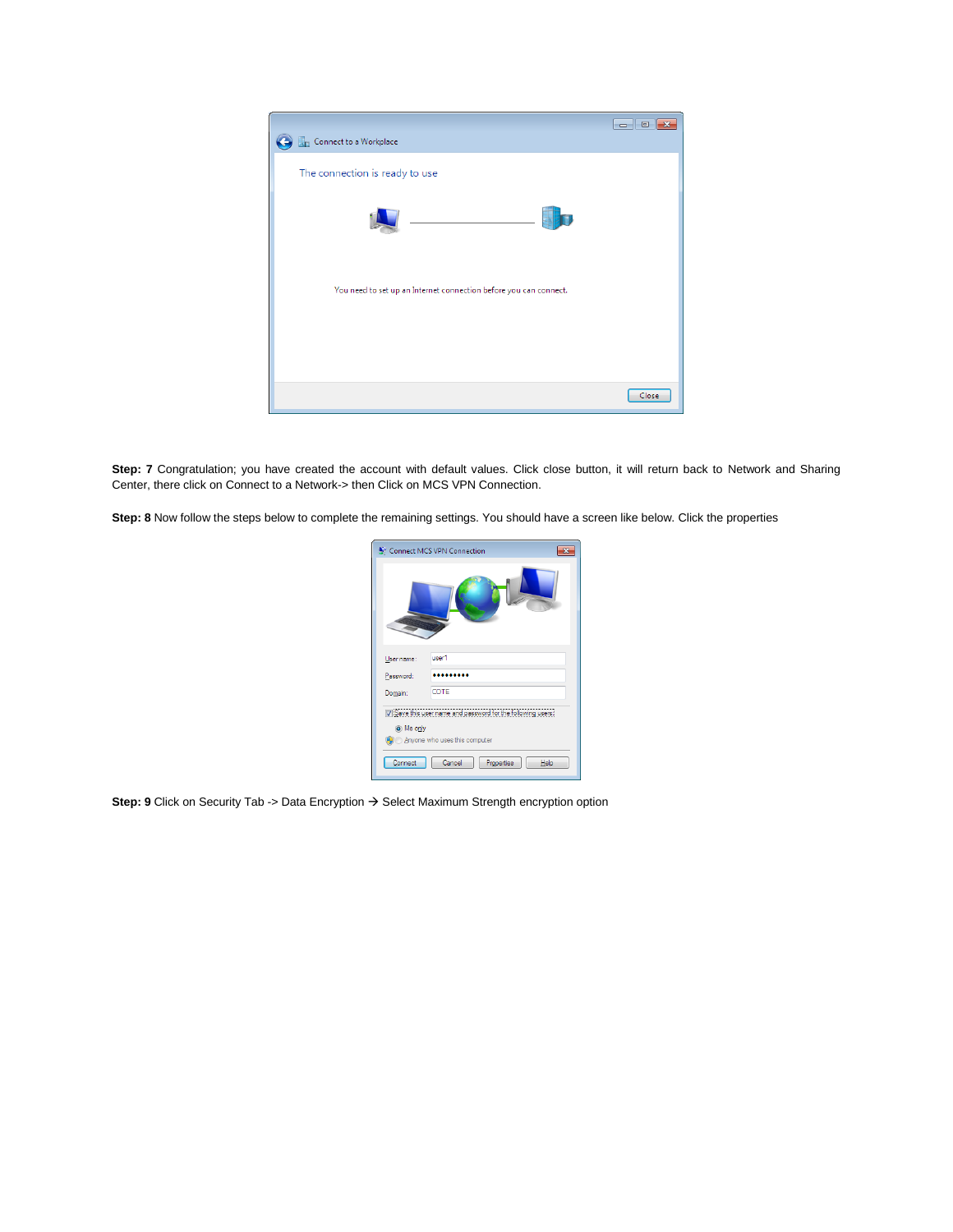

Step: 7 Congratulation; you have created the account with default values. Click close button, it will return back to Network and Sharing Center, there click on Connect to a Network-> then Click on MCS VPN Connection.

**Step: 8** Now follow the steps below to complete the remaining settings. You should have a screen like below. Click the properties

|            | Connect MCS VPN Connection                                 |
|------------|------------------------------------------------------------|
|            |                                                            |
| User name: | user1                                                      |
| Password:  |                                                            |
| Domain:    | COTE                                                       |
|            | V Save this user name and password for the following users |
| O Me only  |                                                            |
|            | <b>O</b> Anyone who uses this computer                     |
| Connect    | Cancel<br>Help<br>Properties                               |

Step: 9 Click on Security Tab -> Data Encryption  $\rightarrow$  Select Maximum Strength encryption option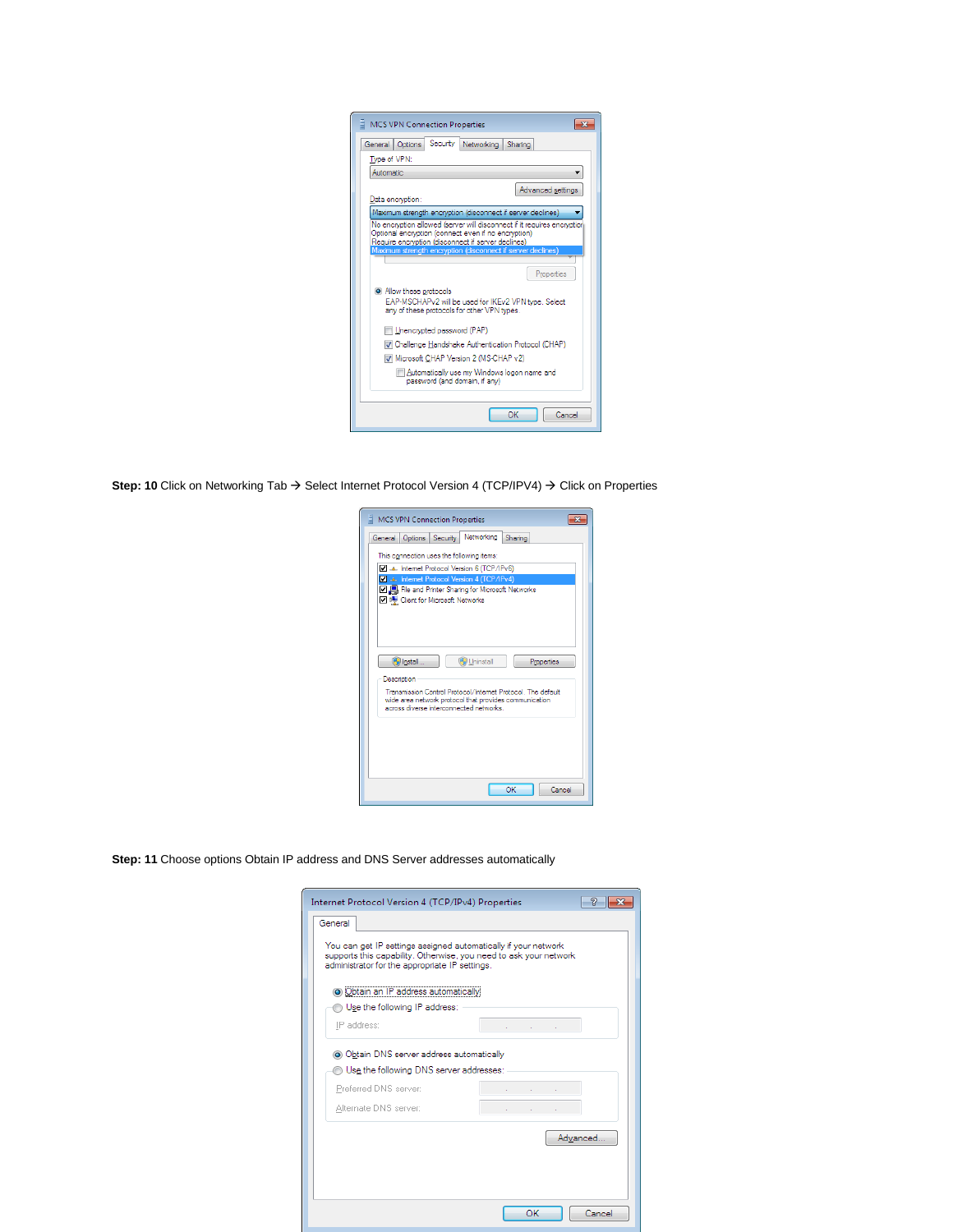| <b>MCS VPN Connection Properties</b>                                                                                                                                                                                                                                                        |
|---------------------------------------------------------------------------------------------------------------------------------------------------------------------------------------------------------------------------------------------------------------------------------------------|
| Security Networking<br>General   Options<br>Sharing                                                                                                                                                                                                                                         |
| Type of VPN:                                                                                                                                                                                                                                                                                |
| Automatic                                                                                                                                                                                                                                                                                   |
| Advanced settings<br>Data encryption:                                                                                                                                                                                                                                                       |
| Maximum strength encryption (disconnect if server declines)                                                                                                                                                                                                                                 |
| No encryption allowed (server will disconnect if it requires encryption)<br>Optional encryption (connect even if no encryption)<br>Require encryption (disconnect if server declines)<br>Maximum strength encryption (disconnect if server declines)<br>Properties<br>Allow these protocols |
| EAP-MSCHAPv2 will be used for IKEv2 VPN type. Select<br>any of these protocols for other VPN types.                                                                                                                                                                                         |
| Unencrypted password (PAP)                                                                                                                                                                                                                                                                  |
| V Challenge Handshake Authentication Protocol (CHAP)                                                                                                                                                                                                                                        |
| Microsoft CHAP Version 2 (MS-CHAP v2)                                                                                                                                                                                                                                                       |
| Automatically use my Windows logon name and<br>password (and domain, if anv)                                                                                                                                                                                                                |
| OK<br>Cancel                                                                                                                                                                                                                                                                                |

**Step: 10** Click on Networking Tab → Select Internet Protocol Version 4 (TCP/IPV4) → Click on Properties

| <b>MCS VPN Connection Properties</b>                                                                                                                            |
|-----------------------------------------------------------------------------------------------------------------------------------------------------------------|
| Networking<br>General Options Security<br>Sharing                                                                                                               |
| This connection uses the following items:                                                                                                                       |
| TCP/IPv6) 4. Internet Protocol Version 6 (TCP/IPv6)<br>A Linternet Protocol Version 4 (TCP/IPv4)                                                                |
| <b>☑ ■</b> File and Printer Sharing for Microsoft Networks<br><b>□ · ·</b> Client for Microsoft Networks                                                        |
|                                                                                                                                                                 |
| <b>O</b> Install<br><b>Co</b> Uninstall<br>Properties                                                                                                           |
| Description                                                                                                                                                     |
| Transmission Control Protocol/Internet Protocol The default<br>wide area network protocol that provides communication<br>across diverse interconnected networks |
|                                                                                                                                                                 |
|                                                                                                                                                                 |
|                                                                                                                                                                 |
| OK<br>Cancel                                                                                                                                                    |

**Step: 11** Choose options Obtain IP address and DNS Server addresses automatically

| Internet Protocol Version 4 (TCP/IPv4) Properties                                                                                                                                     | V                          |
|---------------------------------------------------------------------------------------------------------------------------------------------------------------------------------------|----------------------------|
| General                                                                                                                                                                               |                            |
| You can get IP settings assigned automatically if your network<br>supports this capability. Otherwise, you need to ask your network<br>administrator for the appropriate IP settings. |                            |
| · Obtain an IP address automatically                                                                                                                                                  |                            |
| Use the following IP address:                                                                                                                                                         |                            |
| IP address:                                                                                                                                                                           | the company of the company |
| O Obtain DNS server address automatically                                                                                                                                             |                            |
| Use the following DNS server addresses:                                                                                                                                               |                            |
| Preferred DNS server:                                                                                                                                                                 |                            |
| Alternate DNS server:                                                                                                                                                                 |                            |
|                                                                                                                                                                                       | Advanced                   |
|                                                                                                                                                                                       |                            |
|                                                                                                                                                                                       | OK<br>Cancel               |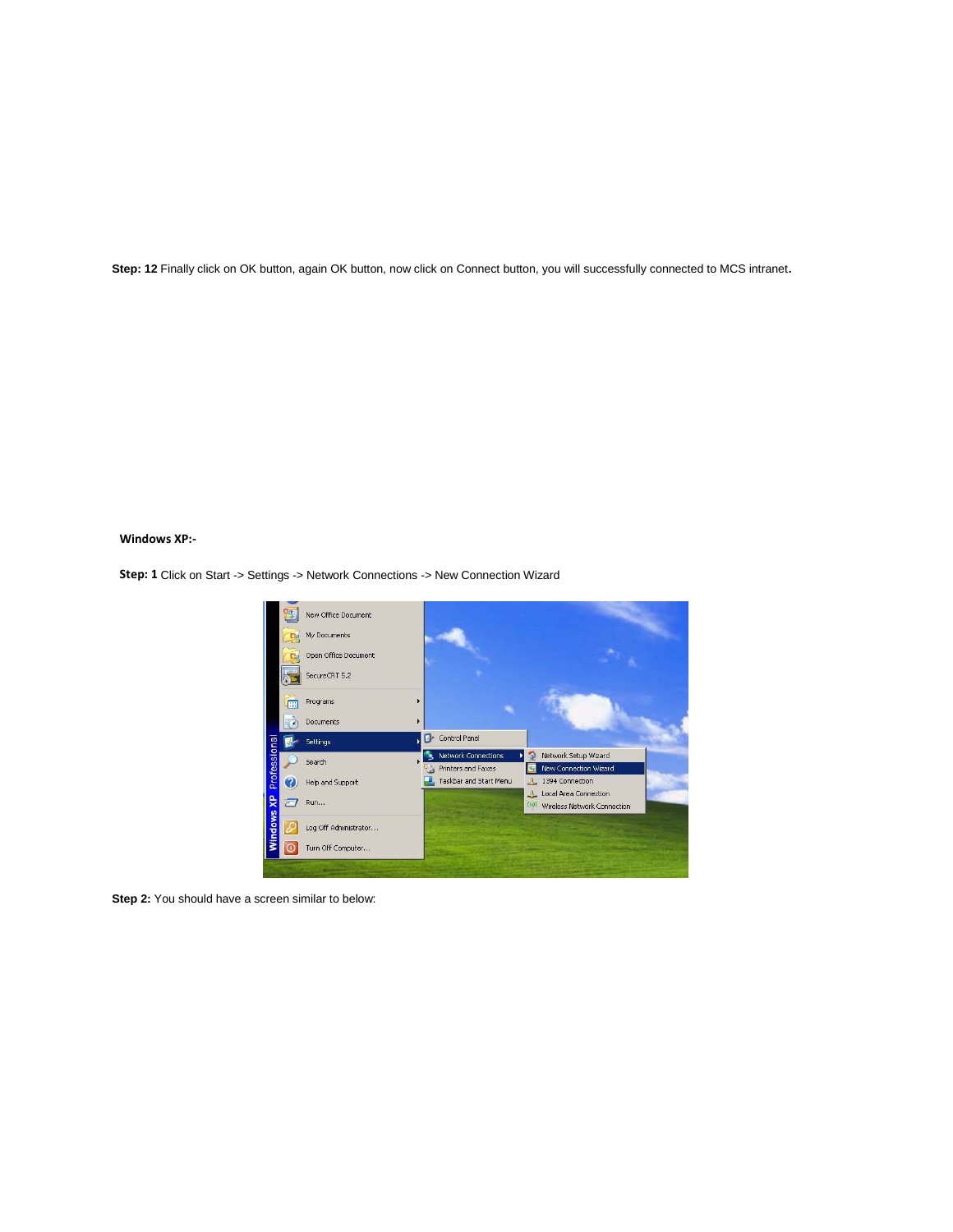Step: 12 Finally click on OK button, again OK button, now click on Connect button, you will successfully connected to MCS intranet.

## **Windows XP:-**

**Step: 1** Click on Start -> Settings -> Network Connections -> New Connection Wizard



**Step 2:** You should have a screen similar to below: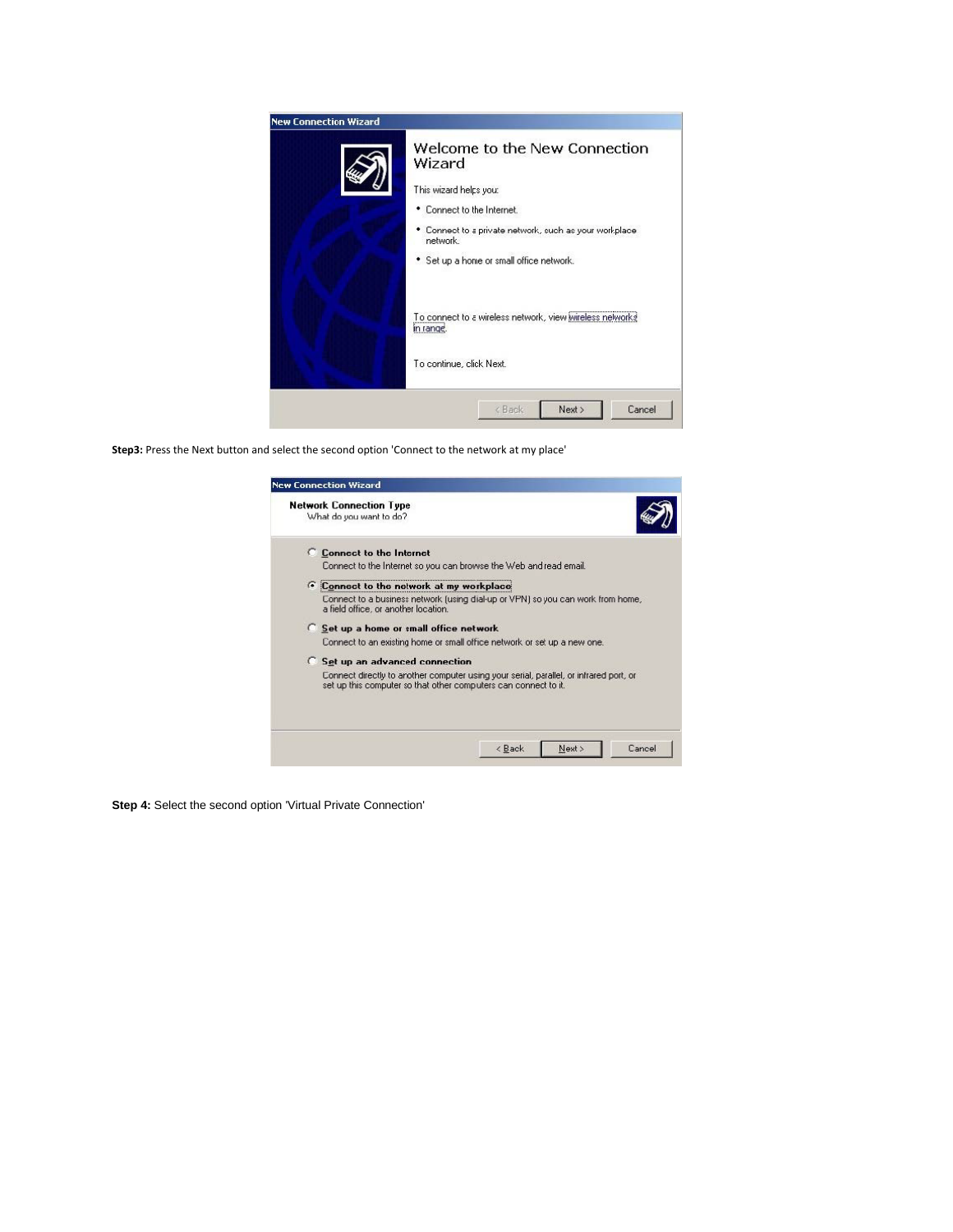

**Step3:** Press the Next button and select the second option 'Connect to the network at my place'

| What do you want to do?                                                                                                                                   |
|-----------------------------------------------------------------------------------------------------------------------------------------------------------|
| C Connect to the Internet                                                                                                                                 |
| Connect to the Internet so you can browse the Web and read email.                                                                                         |
| Connect to the network at my workplace                                                                                                                    |
| Connect to a busines: network [using dial-up or VPN] so you can work from home,<br>a field office, or another location.                                   |
| C Set up a home or small office network.                                                                                                                  |
| Connect to an existing home or small office network or set up a new one.                                                                                  |
| <b>C</b> Set up an advanced connection                                                                                                                    |
| Connect directly to another computer using your serial, parallel, or infrared port, or<br>set up this computer so that other computers can connect to it. |
|                                                                                                                                                           |
| Cancel<br>Next ><br>< Back                                                                                                                                |

**Step 4:** Select the second option 'Virtual Private Connection'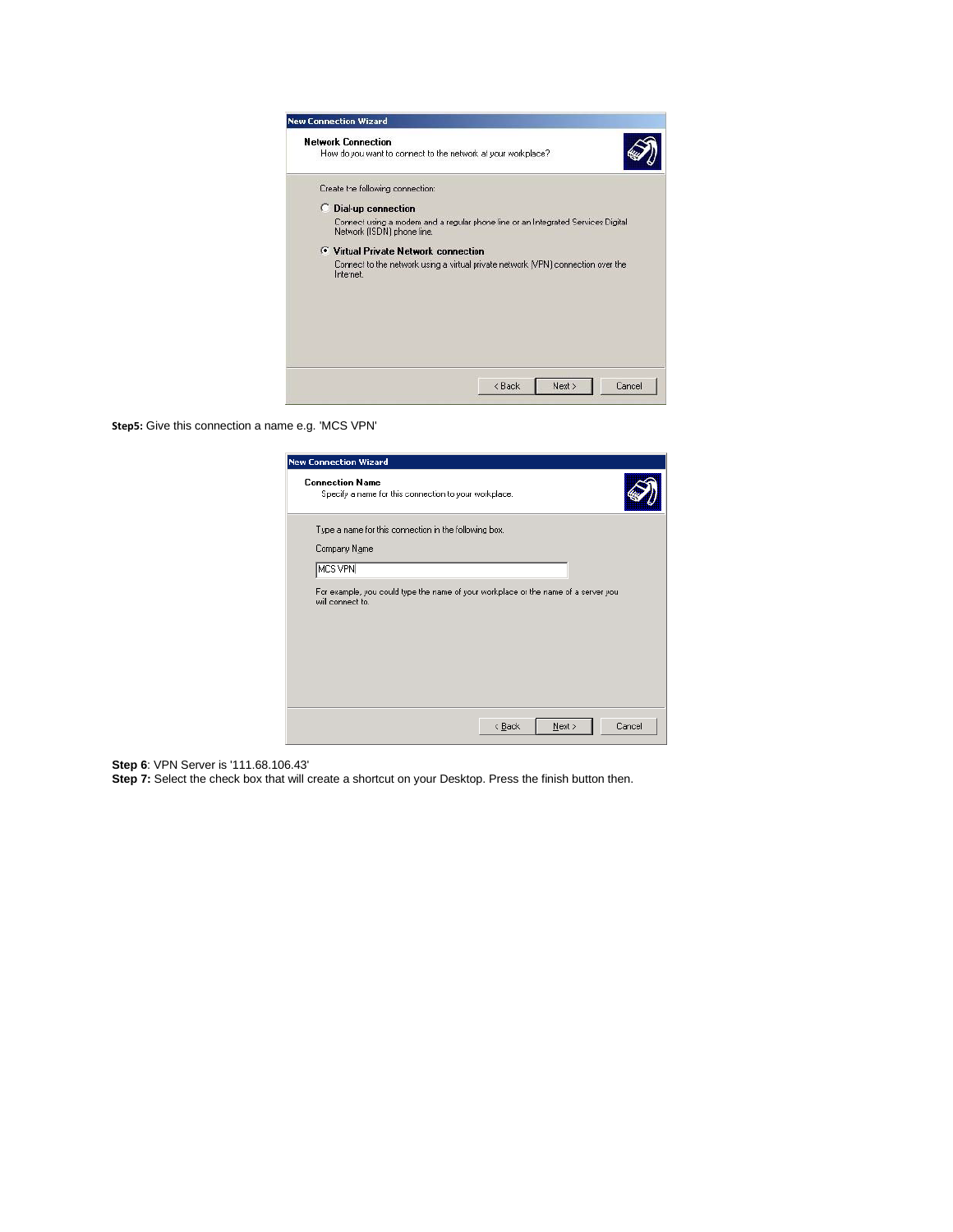| <b>New Connection Wizard</b>                                                                                   |
|----------------------------------------------------------------------------------------------------------------|
| <b>Network Connection</b><br>How do you want to connect to the network at your workplace?                      |
| Create the following connection:                                                                               |
| C Dial-up connection                                                                                           |
| Connect using a modem and a regular phone line or an Integrated Services Digital<br>Network (ISDN) phone line. |
| <b>C</b> Virtual Private Network connection                                                                    |
| Cornect to the network using a virtual private network (VPN) connection over the<br>Internet.                  |
| < Back<br>Next ><br>Cancel                                                                                     |

**Step5:** Give this connection a name e.g. 'MCS VPN'

| <b>New Connection Wizard</b>                                                                           |
|--------------------------------------------------------------------------------------------------------|
| <b>Connection Name</b><br>Specify a name for this connection to your workplace.                        |
| Type a name for this connection in the following box.<br>Company Name                                  |
| MCS VPN                                                                                                |
| For example, you could type the name of your workplace or the name of a server you<br>will connect to. |
| Next ><br>Cancel<br>$\leq$ $\underline{B}$ ack                                                         |

**Step 6**: VPN Server is '111.68.106.43'

**Step 7:** Select the check box that will create a shortcut on your Desktop. Press the finish button then.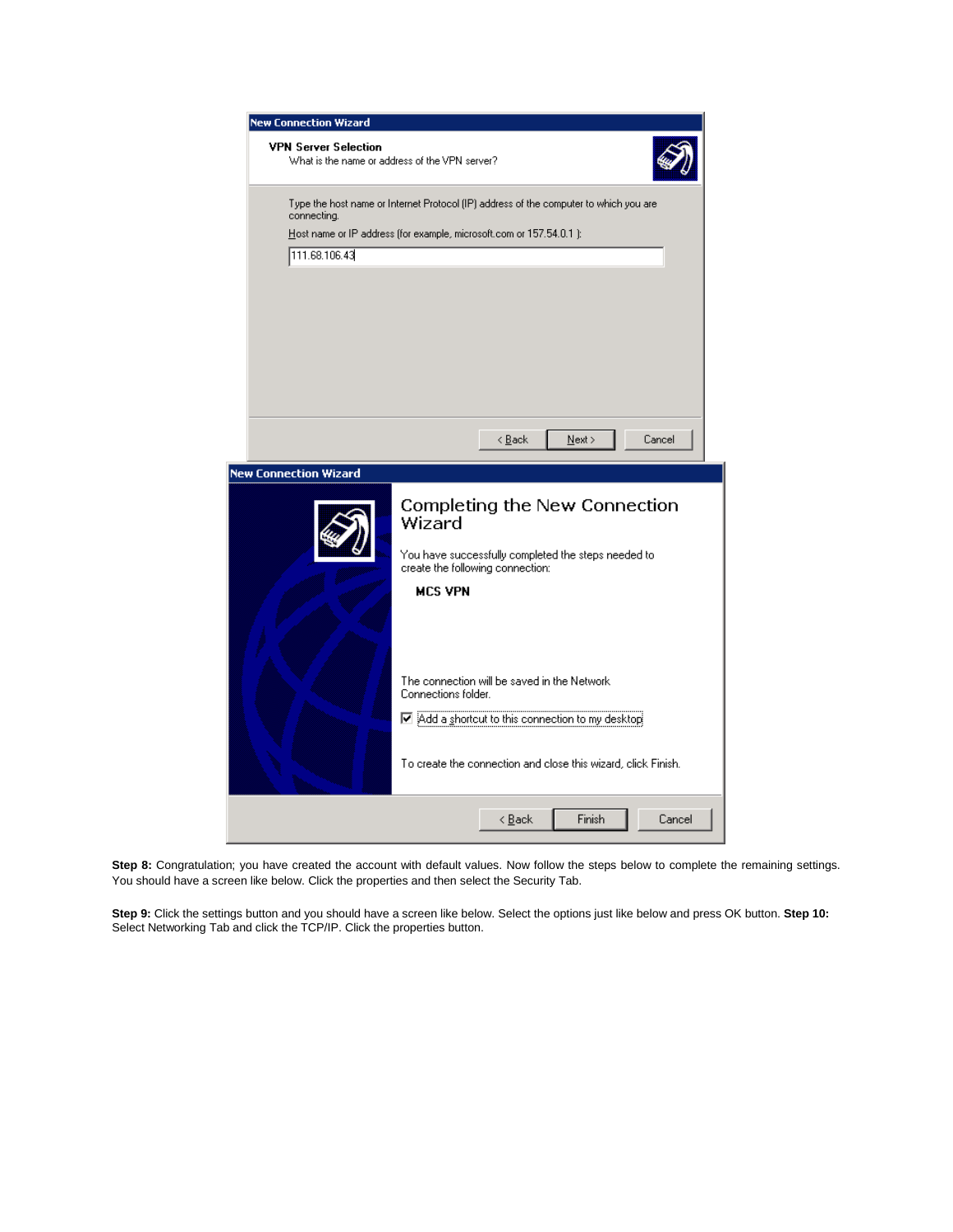| <b>New Connection Wizard</b>                                                                         |
|------------------------------------------------------------------------------------------------------|
| <b>VPN Server Selection</b><br>What is the name or address of the VPN server?                        |
| Type the host name or Internet Protocol (IP) address of the computer to which you are<br>connecting. |
| Host name or IP address (for example, microsoft.com or 157.54.0.1 ):                                 |
| 111.68.106.43                                                                                        |
|                                                                                                      |
|                                                                                                      |
|                                                                                                      |
|                                                                                                      |
|                                                                                                      |
|                                                                                                      |
|                                                                                                      |
|                                                                                                      |
|                                                                                                      |
|                                                                                                      |
| < <u>Back</u><br>Cancel<br>$N$ ext >                                                                 |
|                                                                                                      |
| <b>New Connection Wizard</b>                                                                         |
| Completing the New Connection<br>Wizard                                                              |
|                                                                                                      |
| You have successfully completed the steps needed to<br>create the following connection:              |
| <b>MCS VPN</b>                                                                                       |
|                                                                                                      |
|                                                                                                      |
|                                                                                                      |
|                                                                                                      |
|                                                                                                      |
| The connection will be saved in the Network.                                                         |
| Connections folder.                                                                                  |
| Add a shortcut to this connection to my desktop                                                      |
|                                                                                                      |
|                                                                                                      |
| To create the connection and close this wizard, click Finish.                                        |
|                                                                                                      |
|                                                                                                      |

Step 8: Congratulation; you have created the account with default values. Now follow the steps below to complete the remaining settings. You should have a screen like below. Click the properties and then select the Security Tab.

**Step 9:** Click the settings button and you should have a screen like below. Select the options just like below and press OK button. **Step 10:** Select Networking Tab and click the TCP/IP. Click the properties button.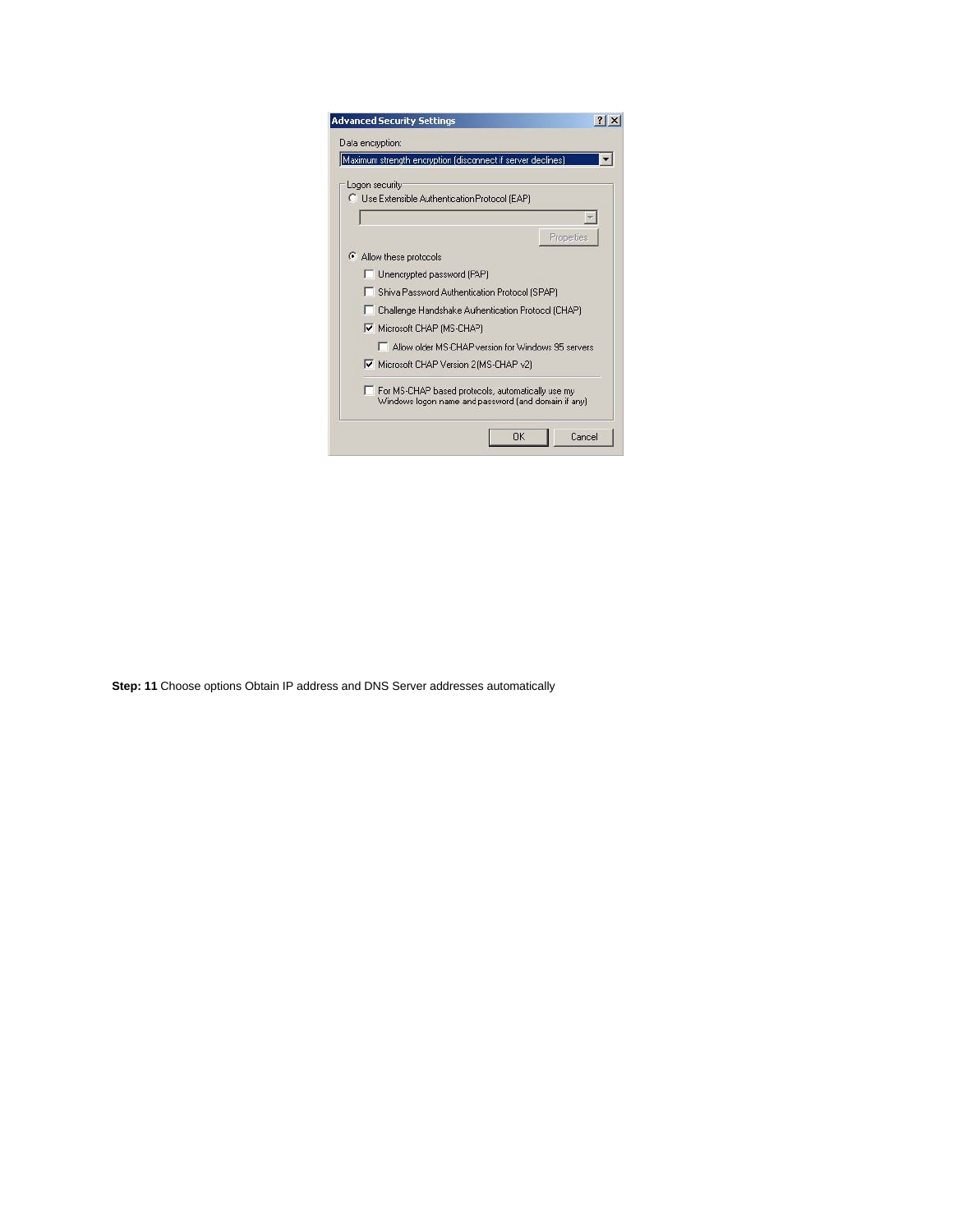|    | Maximum strength encryption (disconnect if server declines).                                             |  |
|----|----------------------------------------------------------------------------------------------------------|--|
|    | Logon security                                                                                           |  |
|    | C Use Extensible Authentication Protocol (EAP)                                                           |  |
|    |                                                                                                          |  |
|    | Properties                                                                                               |  |
| G. | Allow these protocols                                                                                    |  |
|    | Unencrypted password (PAP)                                                                               |  |
|    | Shiva Password Authentication Protocol (SPAP)                                                            |  |
|    | Challenge Handshake Authentication Protocol (CHAP)                                                       |  |
|    | Microsoft CHAP (MS-CHAP)                                                                                 |  |
|    | Allow older MS-CHAP version for Windows 95 servers                                                       |  |
|    | Microsoft CHAP Version 2 (MS-CHAP v2)                                                                    |  |
|    | For MS-CHAP based protocols, automatically use my<br>Windows logon name and password (and domain if any) |  |

**Step: 11** Choose options Obtain IP address and DNS Server addresses automatically